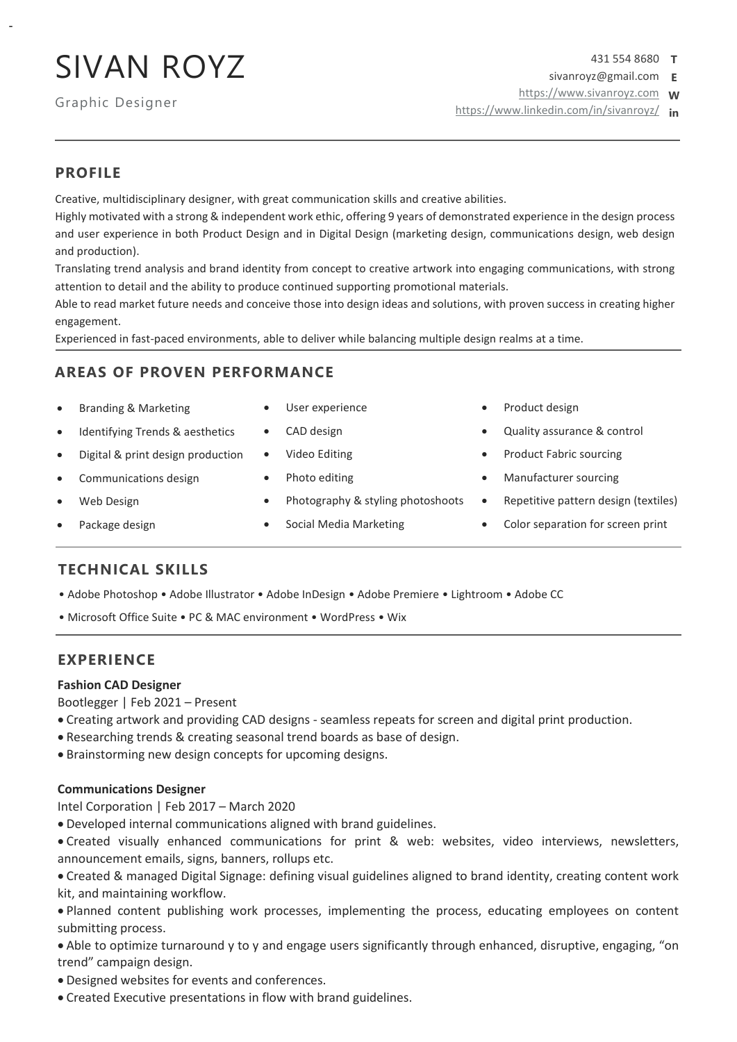## SIVAN ROYZ

Graphic Designer

431 554 8680 **T** sivanroyz@gmail.com **E**

[https://www.sivanroyz.com](https://www.sivanroyz.com/) **W**

<https://www.linkedin.com/in/sivanroyz/> **in**

### **PROFILE**

-

Creative, multidisciplinary designer, with great communication skills and creative abilities.

Highly motivated with a strong & independent work ethic, offering 9 years of demonstrated experience in the design process and user experience in both Product Design and in Digital Design (marketing design, communications design, web design and production).

Translating trend analysis and brand identity from concept to creative artwork into engaging communications, with strong attention to detail and the ability to produce continued supporting promotional materials.

Able to read market future needs and conceive those into design ideas and solutions, with proven success in creating higher engagement.

Experienced in fast-paced environments, able to deliver while balancing multiple design realms at a time.

## **AREAS OF PROVEN PERFORMANCE**

- Branding & Marketing
- Identifying Trends & aesthetics
- Digital & print design production
- Communications design
- Web Design
- Package design
- User experience
- CAD design
- Video Editing
- Photo editing
- Photography & styling photoshoots
- Social Media Marketing
- Product design
- Quality assurance & control
- Product Fabric sourcing
- Manufacturer sourcing
- Repetitive pattern design (textiles)
- Color separation for screen print

## **TECHNICAL SKILLS**

- Adobe Photoshop Adobe Illustrator Adobe InDesign Adobe Premiere Lightroom Adobe CC
- Microsoft Office Suite PC & MAC environment WordPress Wix

## **EXPERIENCE**

#### **Fashion CAD Designer**

Bootlegger | Feb 2021 – Present

- Creating artwork and providing CAD designs seamless repeats for screen and digital print production.
- Researching trends & creating seasonal trend boards as base of design.
- Brainstorming new design concepts for upcoming designs.

#### **Communications Designer**

Intel Corporation | Feb 2017 – March 2020

• Developed internal communications aligned with brand guidelines.

• Created visually enhanced communications for print & web: websites, video interviews, newsletters, announcement emails, signs, banners, rollups etc.

• Created & managed Digital Signage: defining visual guidelines aligned to brand identity, creating content work kit, and maintaining workflow.

• Planned content publishing work processes, implementing the process, educating employees on content submitting process.

• Able to optimize turnaround y to y and engage users significantly through enhanced, disruptive, engaging, "on trend" campaign design.

- Designed websites for events and conferences.
- Created Executive presentations in flow with brand guidelines.